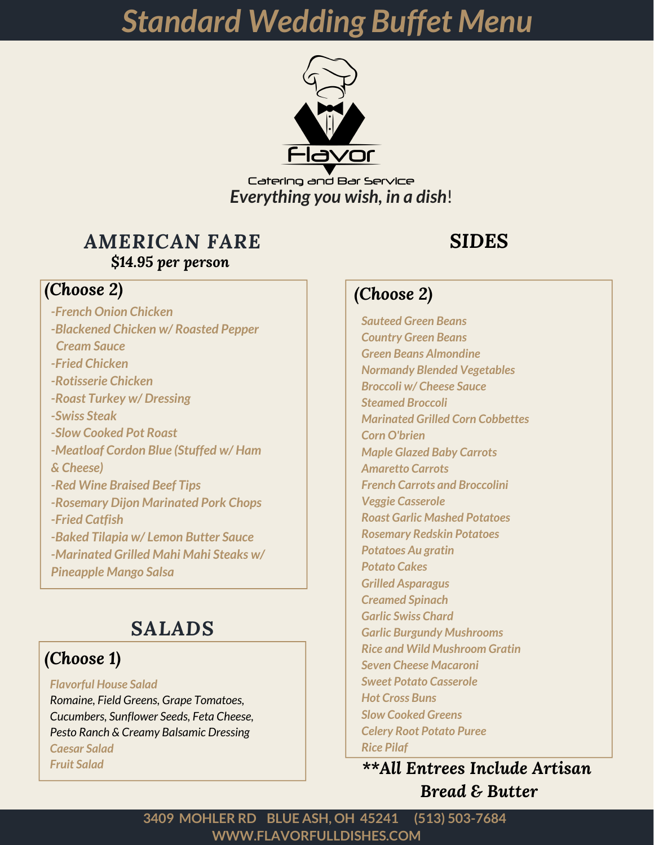

Catering and Bar Service *Everything you wish, in a dish*!

### *AMERICAN FARE \$14.95 per person*

# *(Choose 2)*

*-French Onion Chicken -Blackened Chicken w/ Roasted Pepper Cream Sauce -Fried Chicken -Rotisserie Chicken -Roast Turkey w/ Dressing -Swiss Steak -Slow Cooked Pot Roast -Meatloaf Cordon Blue (Stuffed w/ Ham & Cheese) -Red Wine Braised Beef Tips -Rosemary Dijon Marinated Pork Chops -Fried Catfish -Baked Tilapia w/ Lemon Butter Sauce -Marinated Grilled Mahi Mahi Steaks w/ Pineapple Mango Salsa*

# *SALADS*

# *(Choose 1)*

#### *Flavorful House Salad Romaine, Field Greens, Grape Tomatoes, Cucumbers, Sunflower Seeds, Feta Cheese, Pesto Ranch & Creamy Balsamic Dressing Caesar Salad*

*Fruit Salad*

# *SIDES*

### *(Choose 2)*

*Sauteed Green Beans Country Green Beans Green Beans Almondine Normandy Blended Vegetables Broccoli w/ Cheese Sauce Steamed Broccoli Marinated Grilled Corn Cobbettes Corn O'brien Maple Glazed Baby Carrots Amaretto Carrots French Carrots and Broccolini Veggie Casserole Roast Garlic Mashed Potatoes Rosemary Redskin Potatoes Potatoes Au gratin Potato Cakes Grilled Asparagus Creamed Spinach Garlic Swiss Chard Garlic Burgundy Mushrooms Rice and Wild Mushroom Gratin Seven Cheese Macaroni Sweet Potato Casserole Hot Cross Buns Slow Cooked Greens Celery Root Potato Puree Rice Pilaf*

*\*\*All Entrees Include Artisan Bread & Butter*

**WWW.FLAVORFULLDISHES.COM 3409 MOHLER RD BLUE ASH, OH 45241 (513) 503-7684**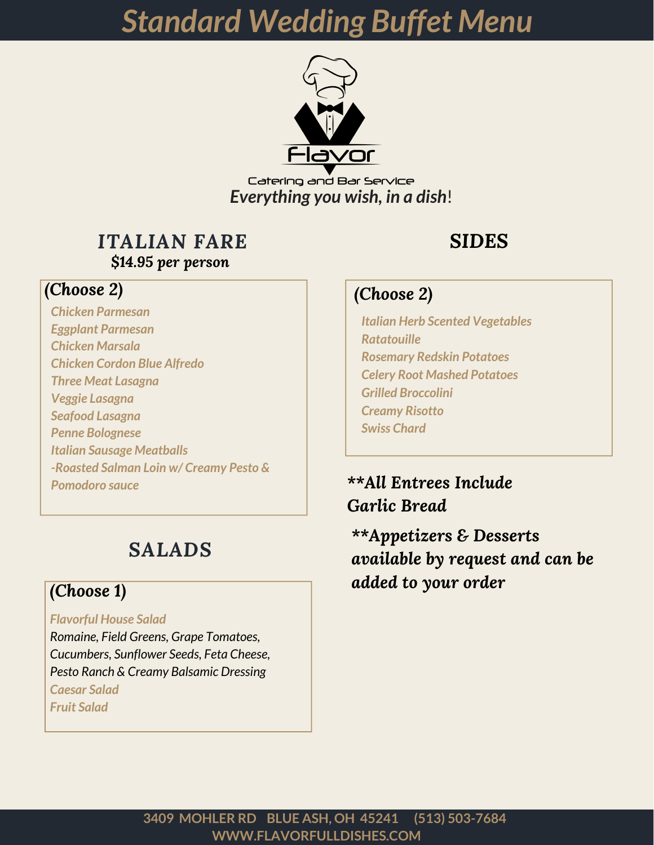

Catering and Bar Service *Everything you wish, in a dish*!

### *ITALIAN FARE \$14.95 per person*

# *SIDES*

#### *(Choose 2)*

*Italian Herb Scented Vegetables Ratatouille Rosemary Redskin Potatoes Celery Root Mashed Potatoes Grilled Broccolini Creamy Risotto Swiss Chard*

*\*\*All Entrees Include Garlic Bread*

*\*\*Appetizers & Desserts available by request and can be added to your order*

#### *(Choose 2)*

*Chicken Parmesan Eggplant Parmesan Chicken Marsala Chicken Cordon Blue Alfredo Three Meat Lasagna Veggie Lasagna Seafood Lasagna Penne Bolognese Italian Sausage Meatballs -Roasted Salman Loin w/ Creamy Pesto & Pomodoro sauce*

# *SALADS*

#### *(Choose 1)*

#### *Flavorful House Salad*

*Romaine, Field Greens, Grape Tomatoes, Cucumbers, Sunflower Seeds, Feta Cheese, Pesto Ranch & Creamy Balsamic Dressing Caesar Salad Fruit Salad*

> **WWW.FLAVORFULLDISHES.COM 3409 MOHLER RD BLUE ASH, OH 45241 (513) 503-7684**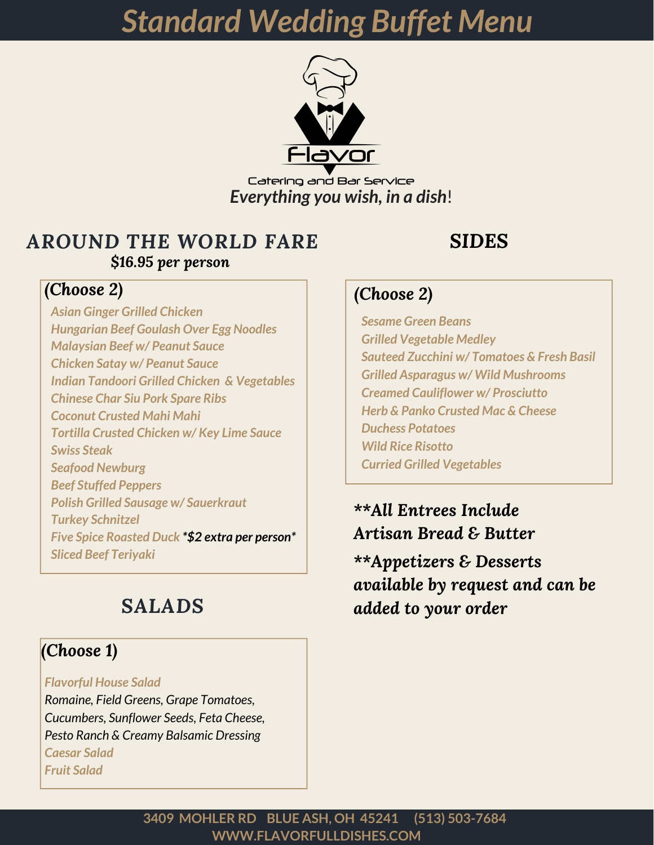

Catering and Bar Service *Everything you wish, in a dish*!

## *AROUND THE WORLD FARE \$16.95 per person*

#### *(Choose 2)*

*Asian Ginger Grilled Chicken Hungarian Beef Goulash Over Egg Noodles Malaysian Beef w/ Peanut Sauce Chicken Satay w/ Peanut Sauce Indian Tandoori Grilled Chicken & Vegetables Chinese Char Siu Pork Spare Ribs Coconut Crusted Mahi Mahi Tortilla Crusted Chicken w/ Key Lime Sauce Swiss Steak Seafood Newburg Beef Stuffed Peppers Polish Grilled Sausage w/ Sauerkraut Turkey Schnitzel Five Spice Roasted Duck \*\$2 extra per person\* Sliced Beef Teriyaki*

# *SALADS*

### *(Choose 1)*

*Flavorful House Salad*

*Romaine, Field Greens, Grape Tomatoes, Cucumbers, Sunflower Seeds, Feta Cheese, Pesto Ranch & Creamy Balsamic Dressing Caesar Salad Fruit Salad*

# *SIDES*

### *(Choose 2)*

*Sesame Green Beans Grilled Vegetable Medley Sauteed Zucchini w/ Tomatoes & Fresh Basil Grilled Asparagus w/ Wild Mushrooms Creamed Cauliflower w/ Prosciutto Herb & Panko Crusted Mac & Cheese Duchess Potatoes Wild Rice Risotto Curried Grilled Vegetables*

*\*\*All Entrees Include Artisan Bread & Butter*

*\*\*Appetizers & Desserts available by request and can be added to your order*